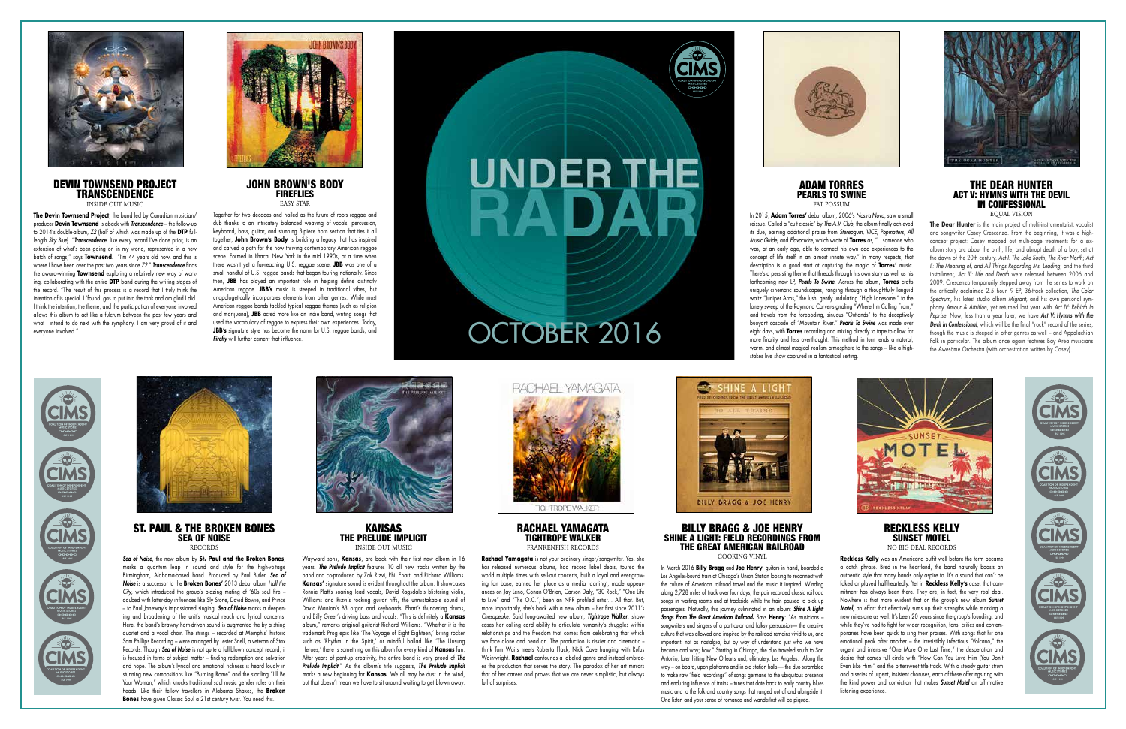ST. PAUL & THE BROKEN BONES SEA OF NOISE RECORDS

*Sea of Noise*, the new album by **St. Paul and the Broken Bones**, marks a quantum leap in sound and style for the high-voltage Birmingham, Alabama-based band. Produced by Paul Butler, *Sea of Noise* is a successor to the **Broken Bones'** 2013 debut album *Half the City*, which introduced the group's blazing mating of '60s soul fire – daubed with latter-day influences like Sly Stone, David Bowie, and Prince – to Paul Janeway's impassioned singing. *Sea of Noise* marks a deepening and broadening of the unit's musical reach and lyrical concerns. Here, the band's brawny horn-driven sound is augmented the by a string quartet and a vocal choir. The strings – recorded at Memphis' historic Sam Phillips Recording – were arranged by Lester Snell, a veteran of Stax Records. Though *Sea of Noise* is not quite a full-blown concept record, it is focused in terms of subject matter – finding redemption and salvation and hope. The album's lyrical and emotional richness is heard loudly in stunning new compositions like "Burning Rome" and the startling "I'll Be Your Woman," which knocks traditional soul music gender roles on their heads. Like their fellow travellers in Alabama Shakes, the **Broken Bones** have given Classic Soul a 21st century twist. You need this.



KANSAS THE PRELUDE IMPLICIT INSIDE OUT MUSIC

Wayward sons, **Kansas**, are back with their first new album in 16 years. *The Prelude Implicit* features 10 all new tracks written by the band and co-produced by Zak Rizvi, Phil Ehart, and Richard Williams. **Kansas'** signature sound is evident throughout the album. It showcases Ronnie Platt's soaring lead vocals, David Ragsdale's blistering violin, Williams and Rizvi's rocking guitar riffs, the unmistakable sound of David Manion's B3 organ and keyboards, Ehart's thundering drums, and Billy Greer's driving bass and vocals. "This is definitely a **Kansas** album," remarks original guitarist Richard Williams. "Whether it is the trademark Prog epic like 'The Voyage of Eight Eighteen,' biting rocker such as 'Rhythm in the Spirit,' or mindful ballad like 'The Unsung Heroes,' there is something on this album for every kind of **Kansas** fan. After years of pent-up creativity, the entire band is very proud of *The*  **Prelude Implicit**." As the album's title suggests. **The Prelude Implicit** marks a new beginning for **Kansas**. We all may be dust in the wind, but that doesn't mean we have to sit around waiting to get blown away.



## RACHAEL YAMAGATA TIGHTROPE WALKER FRANKENFISH RECORDS

**Rachael Yamagata** is not your ordinary singer/songwriter. Yes, she



has released numerous albums, had record label deals, toured the world multiple times with sell-out concerts, built a loyal and ever-growing fan base, earned her place as a media 'darling', made appearances on Jay Leno, Conan O'Brien, Carson Daly, "30 Rock," "One Life to Live" and "The O.C."; been an NPR profiled artist… All that. But, more importantly, she's back with a new album – her first since 2011's *Chesapeake*. Said long-awaited new album, *Tightrope Walker*, showcases her calling card ability to articulate humanity's struggles within relationships and the freedom that comes from celebrating that which we face alone and head on. The production is riskier and cinematic -think Tom Waits meets Roberta Flack, Nick Cave hanging with Rufus Wainwright. **Rachael** confounds a labeled genre and instead embraces the production that serves the story. The paradox of her art mirrors that of her career and proves that we are never simplistic, but always full of surprises.

# DEVIN TOWNSEND PROJECT **TRANSCENDENCE**



INSIDE OUT MUS



## BILLY BRAGG & JOE HENRY SHINE A LIGHT: FIELD RECORDINGS FROM THE GREAT AMERICAN RAILROAD

Together for two decades and hailed as the future of roots reggae and dub thanks to an intricately balanced weaving of vocals, percussion, keyboard, bass, guitar, and stunning 3-piece horn section that ties it all together, **John Brown's Body** is building a legacy that has inspired and carved a path for the now thriving contemporary American reggae scene. Formed in Ithaca, New York in the mid 1990s, at a time when there wasn't yet a far-reaching U.S. reggae scene, **JBB** was one of a small handful of U.S. reggae bands that began touring nationally. Since then, **JBB** has played an important role in helping define distinctly American reggae. **JBB's** music is steeped in traditional vibes, but unapologetically incorporates elements from other genres. While most American reggae bands tackled typical reggae themes (such as religion and marijuana), **JBB** acted more like an indie band, writing songs that used the vocabulary of reggae to express their own experiences. Today, **JBB's** signature style has become the norm for U.S. reggae bands, and **Firefly** will further cement that influence.



# **UNDER THE ŘÄD**

COOKING VINYL

In March 2016 **Billy Bragg** and **Joe Henry**, guitars in hand, boarded a Los Angeles-bound train at Chicago's Union Station looking to reconnect with the culture of American railroad travel and the music it inspired. Winding along 2,728 miles of track over four days, the pair recorded classic railroad songs in waiting rooms and at trackside while the train paused to pick up passengers. Naturally, this journey culminated in an album: *Shine A Light: Songs From The Great American Railroad***.** Says **Henry**: "As musicians – songwriters and singers of a particular and folksy persuasion— the creative culture that was allowed and inspired by the railroad remains vivid to us, and important: not as nostalgia, but by way of understand just who we have become and why; how." Starting in Chicago, the duo traveled south to San Antonio, later hitting New Orleans and, ultimately, Los Angeles. Along the way – on board, upon platforms and in old station halls — the duo scrambled to make raw "field recordings" of songs germane to the ubiquitous presence and enduring influence of trains – tunes that date back to early country blues music and to the folk and country songs that ranged out of and alongside it. One listen and your sense of romance and wanderlust will be piqued.

## RECKLESS KELLY **SUNSET MOTEL** NO BIG DEAL RECORDS

**The Dear Hunter** is the main project of multi-instrumentalist, vocalist and songwriter Casey Crescenzo. From the beginning, it was a highconcept project: Casey mapped out multi-page treatments for a sixalbum story arc about the birth, life, and abrupt death of a boy, set at the dawn of the 20th century. *Act I: The Lake South, The River North*; *Act II: The Meaning of, and All Things Regarding Ms. Leading*; and the third installment, *Act III: Life and Death* were released between 2006 and 2009. Crescenzo temporarily stepped away from the series to work on the critically acclaimed 2.5 hour, 9 EP, 36-track collection, *The Color Spectrum*, his latest studio album *Migrant*, and his own personal symphony *Amour & Attrition*, yet returned last year with *Act IV: Rebirth In Reprise*. Now, less than a year later, we have *Act V: Hymns with the Devil in Confessional*, which will be the final "rock" record of the series, though the music is steeped in other genres as well – and Appalachian Folk in particular. The album once again features Bay Area musicians the Awesöme Orchestra (with orchestration written by Casey).



**Reckless Kelly** was an Americana outfit well before the term became a catch phrase. Bred in the heartland, the band naturally boasts an authentic style that many bands only aspire to. It's a sound that can't be faked or played half-heartedly. Yet in **Reckless Kelly's** case, that commitment has always been there. They are, in fact, the very real deal. Nowhere is that more evident that on the group's new album *Sunset Motel*, an effort that effectively sums up their strengths while marking a new milestone as well. It's been 20 years since the group's founding, and while they've had to fight for wider recognition, fans, critics and contemporaries have been quick to sing their praises. With songs that hit one emotional peak after another – the irresistibly infectious "Volcano," the urgent and intensive "One More One Last Time," the desperation and desire that comes full circle with "How Can You Love Him (You Don't Even Like Him)" and the bittersweet title track. With a steady guitar strum and a series of urgent, insistent choruses, each of these offerings ring with the kind power and conviction that makes *Sunset Motel* an affirmative listening experience.



**The Devin Townsend Project**, the band led by Canadian musician/ producer **Devin Townsend** is aback with *Transcendence* – the follow-up to 2014's double-album, *Z2* (half of which was made up of the **DTP** fulllength *Sky Blue*). "*Transcendence*, like every record I've done prior, is an extension of what's been going on in my world, represented in a new batch of songs," says **Townsend**. "I'm 44 years old now, and this is where I have been over the past two years since *Z2*." *Transcendence* finds the award-winning **Townsend** exploring a relatively new way of working, collaborating with the entire **DTP** band during the writing stages of the record. "The result of this process is a record that I truly think the intention of is special. I 'found' gas to put into the tank and am glad I did. I think the intention, the theme, and the participation of everyone involved allows this album to act like a fulcrum between the past few years and what I intend to do next with the symphony. I am very proud of it and everyone involved."



## JOHN BROWN'S BODY **FIREFLIES** EASY STAR











In 2015, **Adam Torres'** debut album, 2006's *Nostra Nova*, saw a small reissue. Called a "cult classic" by *The A.V. Club*, the album finally achieved its due, earning additional praise from *Stereogum*, *VICE*, *Popmatters*, *All Music Guide*, and *Flavorwire*, which wrote of **Torres** as, "…someone who was, at an early age, able to connect his own odd experiences to the concept of life itself in an almost innate way." In many respects, that description is a good start at capturing the magic of **Torres'** music. There's a persisting theme that threads through his own story as well as his forthcoming new LP, *Pearls To Swine*. Across the album, **Torres** crafts uniquely cinematic soundscapes, ranging through a thoughtfully languid waltz "Juniper Arms," the lush, gently undulating "High Lonesome," to the lonely sweep of the Raymond Carver-signaling "Where I'm Calling From," and travels from the foreboding, sinuous "Outlands" to the deceptively buoyant cascade of "Mountain River." *Pearls To Swine* was made over eight days, with **Torres** recording and mixing directly to tape to allow for more finality and less overthought. This method in turn lends a natural, warm, and almost magical realism atmosphere to the songs - like a highstakes live show captured in a fantastical setting.



## THE DEAR HUNTER ACT V: HYMNS WITH THE DEVIL IN CONFESSIONAL EQUAL VISION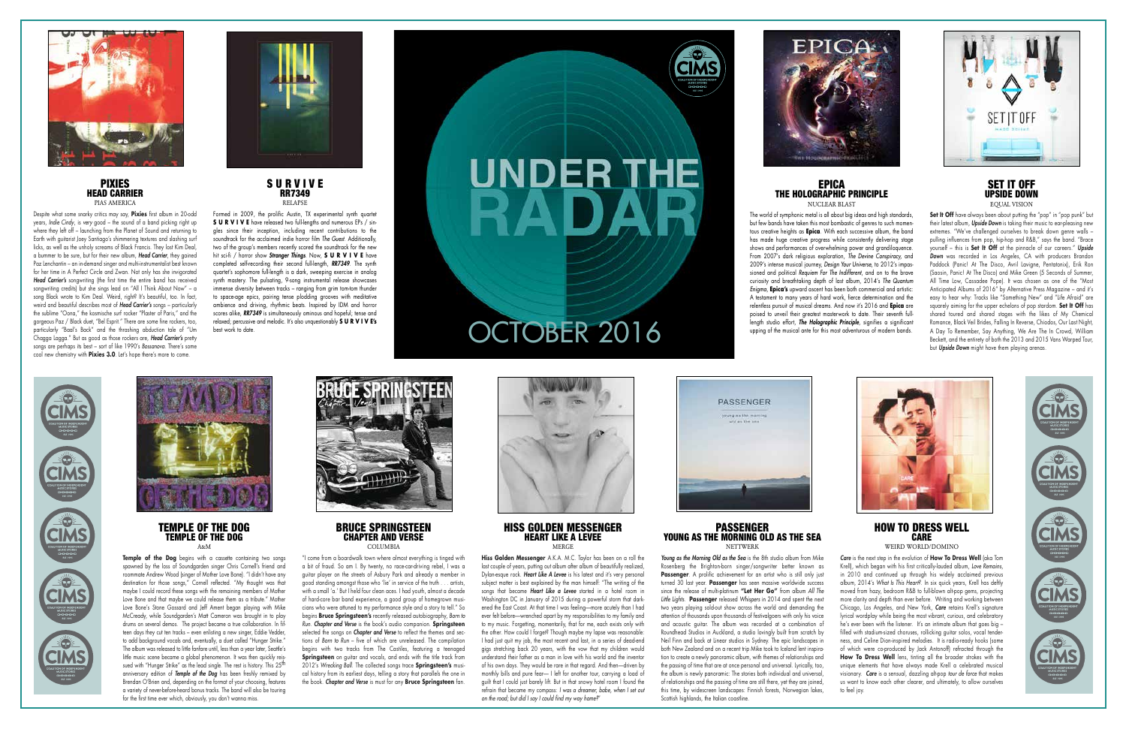TEMPLE OF THE DOG TEMPLE OF THE DOG A&M

Temple of the Dog begins with a cassette containing two songs spawned by the loss of Soundgarden singer Chris Cornell's friend and roommate Andrew Wood (singer of Mother Love Bone). "I didn't have any destination for those songs," Cornell reflected. "My thought was that maybe I could record these songs with the remaining members of Mother Love Bone and that maybe we could release them as a tribute." Mother Love Bone's Stone Gossard and Jeff Ament began playing with Mike McCready, while Soundgarden's Matt Cameron was brought in to play drums on several demos. The project became a true collaboration. In fifteen days they cut ten tracks – even enlisting a new singer, Eddie Vedder, to add background vocals and, eventually, a duet called "Hunger Strike." The album was released to little fanfare until, less than a year later, Seattle's little music scene became a global phenomenon. It was then quickly reissued with "Hunger Strike" as the lead single. The rest is history. This 25<sup>th</sup> anniversary edition of *Temple of the Dog* has been freshly remixed by Brendan O'Brien and, depending on the format of your choosing, features a variety of never-before-heard bonus tracks. The band will also be touring for the first time ever which, obviously, you don't wanna miss.

### BRUCE SPRINGSTEEN CHAPTER AND VERSE **COLUMBIA**



## HISS GOLDEN MESSENGER HEART LIKE A LEVEE **MERGE**

## PASSENGER YOUNG AS THE MORNING OLD AS THE SEA **NETTWERK**

"I come from a boardwalk town where almost everything is tinged with a bit of fraud. So am I. By twenty, no race-car-driving rebel, I was a guitar player on the streets of Asbury Park and already a member in good standing amongst those who 'lie' in service of the truth . . . artists, with a small 'a.' But I held four clean aces. I had youth, almost a decade of hard-core bar band experience, a good group of homegrown musicians who were attuned to my performance style and a story to tell." So begins **Bruce Springsteen's** recently released autobiography, *Born to Run*. *Chapter and Verse* is the book's audio companion. **Springsteen** selected the songs on **Chapter and Verse** to reflect the themes and sections of *Born to Run* – five of which are unreleased. The compilation begins with two tracks from The Castiles, featuring a teenaged **Springsteen** on guitar and vocals, and ends with the title track from 2012's *Wrecking Ball*. The collected songs trace **Springsteen's** musical history from its earliest days, telling a story that parallels the one in the book. *Chapter and Verse* is must for any **Bruce Springsteen** fan.



*Young as the Morning Old as the Sea* is the 8th studio album from Mike Rosenberg the Brighton-born singer/songwriter better known as **Passenger**. A prolific achievement for an artist who is still only just turned 30 last year. **Passenger** has seen massive worldwide success since the release of multi-platinum **"Let Her Go"** from album *All The Little Lights*. **Passenger** released *Whispers* in 2014 and spent the next two years playing sold-out show across the world and demanding the attention of thousands upon thousands of festivalgoers with only his voice and acoustic guitar. The album was recorded at a combination of Roundhead Studios in Auckland, a studio lovingly built from scratch by Neil Finn and back at Linear studios in Sydney. The epic landscapes in both New Zealand and on a recent trip Mike took to Iceland lent inspiration to create a newly panoramic album, with themes of relationships and the passing of time that are at once personal and universal. Lyrically, too, the album is newly panoramic: The stories both individual and universal, of relationships and the passing of time are still there, yet they are joined, this time, by widescreen landscapes: Finnish forests, Norwegian lakes, Scottish highlands, the Italian coastline.



**Hiss Golden Messenger** A.K.A. M.C. Taylor has been on a roll the last couple of years, putting out album after album of beautifully realized, Dylan-esque rock. **Heart Like A Levee** is his latest and it's very personal subject matter is best explained by the man himself: "The writing of the songs that became *Heart Like a Levee* started in a hotel room in Washington DC in January of 2015 during a powerful storm that darkened the East Coast. At that time I was feeling—more acutely than I had ever felt before—wrenched apart by my responsibilities to my family and to my music. Forgetting, momentarily, that for me, each exists only with the other. How could I forget? Though maybe my lapse was reasonable: I had just quit my job, the most recent and last, in a series of dead-end gigs stretching back 20 years, with the vow that my children would understand their father as a man in love with his world and the inventor of his own days. They would be rare in that regard. And then—driven by monthly bills and pure fear— I left for another tour, carrying a load of guilt that I could just barely lift. But in that snowy hotel room I found the refrain that became my compass: *I was a dreamer, babe, when I set out on the road; but did I say I could find my way home?*"



## HOW TO DRESS WELL **CARE** WEIRD WORLD/DOMINO

**Set It Off** have always been about putting the "pop" in "pop punk" but their latest album, *Upside Down* is taking their music to ear-pleasing new extremes. "We've challenged ourselves to break down genre walls – pulling influences from pop, hip-hop and R&B," says the band. "Brace yourself – this is **Set It Off** at the pinnacle of our careers." *Upside Down* was recorded in Los Angeles, CA with producers Brandon Paddock (Panic! At The Disco, Avril Lavigne, Pentatonix), Erik Ron (Saosin, Panic! At The Disco) and Mike Green (5 Seconds of Summer, All Time Low, Cassadee Pope). It was chosen as one of the "Most Anticipated Albums of 2016" by Alternative Press Magazine – and it's easy to hear why: Tracks like "Something New" and "Life Afraid" are squarely aiming for the upper echelons of pop stardom. **Set It Off** has shared toured and shared stages with the likes of My Chemical Romance, Black Veil Brides, Falling In Reverse, Chiodos, Our Last Night, A Day To Remember, Say Anything, We Are The In Crowd, William Beckett, and the entirety of both the 2013 and 2015 Vans Warped Tour, but *Upside Down* might have them playing arenas.



*Care* is the next step in the evolution of **How To Dress Well** (aka Tom Krell), which began with his first critically-lauded album, *Love Remains*, in 2010 and continued up through his widely acclaimed previous album, 2014's *What Is This Heart?*. In six quick years, Krell has deftly moved from hazy, bedroom R&B to full-blown alt-pop gems, projecting more clarity and depth than ever before. Writing and working between Chicago, Los Angeles, and New York, *Care* retains Krell's signature lyrical wordplay while being the most vibrant, curious, and celebratory he's ever been with the listener. It's an intimate album that goes big – filled with stadium-sized choruses, rollicking guitar solos, vocal tenderness, and Celine Dion-inspired melodies. It is radio-ready hooks (some of which were co-produced by Jack Antonoff) refracted through the How To Dress Well lens, tinting all the broader strokes with the unique elements that have always made Krell a celebrated musical visionary. *Care* is a sensual, dazzling alt-pop *tour de force* that makes us want to know each other clearer, and ultimately, to allow ourselves to feel joy.







Despite what some snarky critics may say, **Pixies** first album in 20-odd years, *Indie Cindy*, is *very* good – the sound of a band picking right up where they left off – launching from the Planet of Sound and returning to Earth with guitarist Joey Santiago's shimmering textures and slashing surf licks, as well as the unholy screams of Black Francis. They lost Kim Deal, a bummer to be sure, but for their new album, *Head Carrier*, they gained Paz Lenchantin – an in-demand singer and multi-instrumentalist best known for her time in A Perfect Circle and Zwan. Not only has she invigorated *Head Carrier's* songwriting (the first time the entire band has received songwriting credits) but she sings lead on "All I Think About Now" – a song Black wrote to Kim Deal. Weird, right? It's beautiful, too. In fact, weird and beautiful describes most of *Head Carrier's* songs – particularly the sublime "Oona," the kosmische surf rocker "Plaster of Paris," and the gorgeous Paz / Black duet, "Bel Esprit." There are some fine rockers, too, particularly "Baal's Back" and the thrashing abduction tale of "Um Chagga Lagga." But as good as those rockers are, *Head Carrier's* pretty songs are perhaps its best – sort of like 1990's *Bossanova.* There's some cool new chemistry with **Pixies 3.0**. Let's hope there's more to come.



## S U R V I V E **RR7349** RELAPSE

Formed in 2009, the prolific Austin, TX experimental synth quartet **SURVIVE** have released two full-lengths and numerous EPs / singles since their inception, including recent contributions to the soundtrack for the acclaimed indie horror film *The Guest*. Additionally, two of the group's members recently scored the soundtrack for the new hit sci-fi / horror show *Stranger Things*. Now, **S U R V I V E** have completed self-recording their second full-length, *RR7349*. The synth quartet's sophomore full-length is a dark, sweeping exercise in analog synth mastery. The pulsating, 9-song instrumental release showcases immense diversity between tracks – ranging from grim tom-tom thunder to space-age epics, pairing tense plodding grooves with meditative ambience and driving, rhythmic beats. Inspired by IDM and horror scores alike, *RR7349* is simultaneously ominous and hopeful; tense and relaxed; percussive and melodic. It's also unquestionably **S U R V I V E's**

# UNDER THE RAI







## EPICA THE HOLOGRAPHIC PRINCIPLE NUCLEAR BLAST

The world of symphonic metal is all about big ideas and high standards, but few bands have taken this most bombastic of genres to such momentous creative heights as **Epica**. With each successive album, the band has made huge creative progress while consistently delivering stage shows and performances of overwhelming power and grandiloquence. From 2007's dark religious exploration, *The Devine Conspiracy,* and 2009's intense musical journey, *Design Your Universe*, to 2012's impassioned and political *Requiem For The Indifferent*, and on to the brave curiosity and breathtaking depth of last album, 2014's *The Quantum Enigma*, **Epica's** upward ascent has been both commercial and artistic: A testament to many years of hard work, fierce determination and the relentless pursuit of musical dreams. And now it's 2016 and **Epica** are poised to unveil their greatest masterwork to date. Their seventh fulllength studio effort, *The Holographic Principle*, signifies a significant upping of the musical ante for this most adventurous of modern bands.